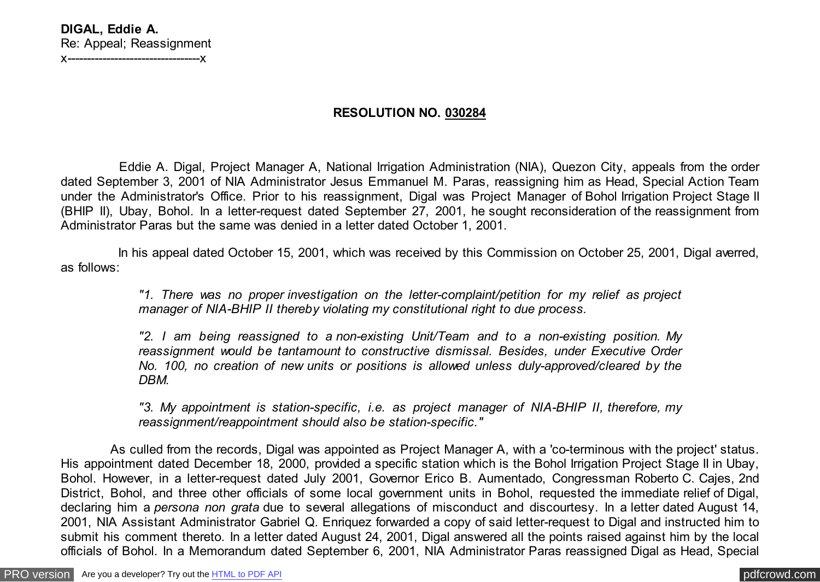## **RESOLUTION NO. 030284**

 Eddie A. Digal, Project Manager A, National Irrigation Administration (NIA), Quezon City, appeals from the order dated September 3, 2001 of NIA Administrator Jesus Emmanuel M. Paras, reassigning him as Head, Special Action Team under the Administrator's Office. Prior to his reassignment, Digal was Project Manager of Bohol Irrigation Project Stage II (BHIP II), Ubay, Bohol. In a letter-request dated September 27, 2001, he sought reconsideration of the reassignment from Administrator Paras but the same was denied in a letter dated October 1, 2001.

 In his appeal dated October 15, 2001, which was received by this Commission on October 25, 2001, Digal averred, as follows:

> *"1. There was no proper investigation on the letter-complaint/petition for my relief as project manager of NIA-BHIP II thereby violating my constitutional right to due process.*

> *"2. I am being reassigned to a non-existing Unit/Team and to a non-existing position. My reassignment would be tantamount to constructive dismissal. Besides, under Executive Order No. 100, no creation of new units or positions is allowed unless duly-approved/cleared by the DBM.*

> *"3. My appointment is station-specific, i.e. as project manager of NIA-BHIP II, therefore, my reassignment/reappointment should also be station-specific."*

 As culled from the records, Digal was appointed as Project Manager A, with a 'co-terminous with the project' status. His appointment dated December 18, 2000, provided a specific station which is the Bohol Irrigation Project Stage II in Ubay, Bohol. However, in a letter-request dated July 2001, Governor Erico B. Aumentado, Congressman Roberto C. Cajes, 2nd District, Bohol, and three other officials of some local government units in Bohol, requested the immediate relief of Digal, declaring him a *persona non grata* due to several allegations of misconduct and discourtesy. In a letter dated August 14, 2001, NIA Assistant Administrator Gabriel Q. Enriquez forwarded a copy of said letter-request to Digal and instructed him to submit his comment thereto. In a letter dated August 24, 2001, Digal answered all the points raised against him by the local officials of Bohol. In a Memorandum dated September 6, 2001, NIA Administrator Paras reassigned Digal as Head, Special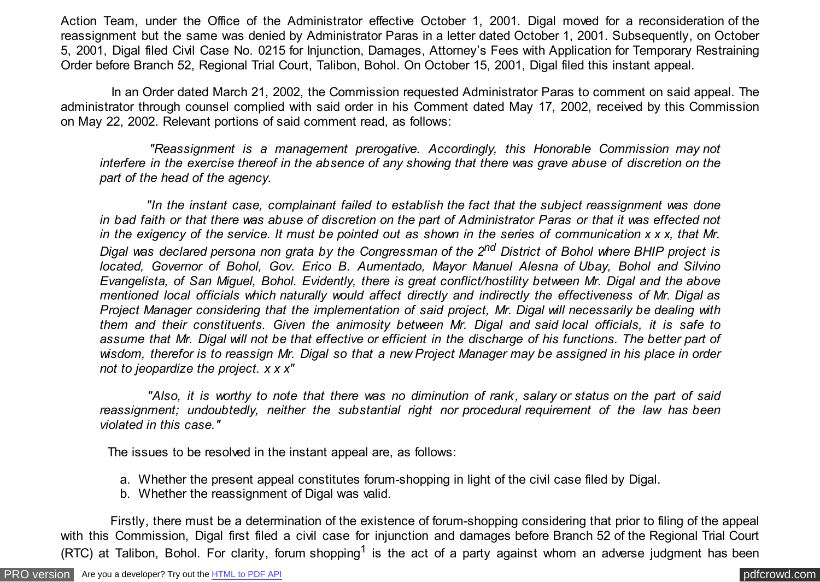Action Team, under the Office of the Administrator effective October 1, 2001. Digal moved for a reconsideration of the reassignment but the same was denied by Administrator Paras in a letter dated October 1, 2001. Subsequently, on October 5, 2001, Digal filed Civil Case No. 0215 for Injunction, Damages, Attorney's Fees with Application for Temporary Restraining Order before Branch 52, Regional Trial Court, Talibon, Bohol. On October 15, 2001, Digal filed this instant appeal.

 In an Order dated March 21, 2002, the Commission requested Administrator Paras to comment on said appeal. The administrator through counsel complied with said order in his Comment dated May 17, 2002, received by this Commission on May 22, 2002. Relevant portions of said comment read, as follows:

 *"Reassignment is a management prerogative. Accordingly, this Honorable Commission may not interfere in the exercise thereof in the absence of any showing that there was grave abuse of discretion on the part of the head of the agency.*

 *"In the instant case, complainant failed to establish the fact that the subject reassignment was done in bad faith or that there was abuse of discretion on the part of Administrator Paras or that it was effected not in the exigency of the service. It must be pointed out as shown in the series of communication x x x, that Mr. Digal was declared persona non grata by the Congressman of the 2nd District of Bohol where BHIP project is located, Governor of Bohol, Gov. Erico B. Aumentado, Mayor Manuel Alesna of Ubay, Bohol and Silvino Evangelista, of San Miguel, Bohol. Evidently, there is great conflict/hostility between Mr. Digal and the above mentioned local officials which naturally would affect directly and indirectly the effectiveness of Mr. Digal as Project Manager considering that the implementation of said project, Mr. Digal will necessarily be dealing with them and their constituents. Given the animosity between Mr. Digal and said local officials, it is safe to assume that Mr. Digal will not be that effective or efficient in the discharge of his functions. The better part of wisdom, therefor is to reassign Mr. Digal so that a new Project Manager may be assigned in his place in order not to jeopardize the project. x x x"*

 *"Also, it is worthy to note that there was no diminution of rank, salary or status on the part of said reassignment; undoubtedly, neither the substantial right nor procedural requirement of the law has been violated in this case."*

The issues to be resolved in the instant appeal are, as follows:

- a. Whether the present appeal constitutes forum-shopping in light of the civil case filed by Digal.
- b. Whether the reassignment of Digal was valid.

 Firstly, there must be a determination of the existence of forum-shopping considering that prior to filing of the appeal with this Commission, Digal first filed a civil case for injunction and damages before Branch 52 of the Regional Trial Court (RTC) at Talibon, Bohol. For clarity, forum shopping<sup>1</sup> is the act of a party against whom an adverse judgment has been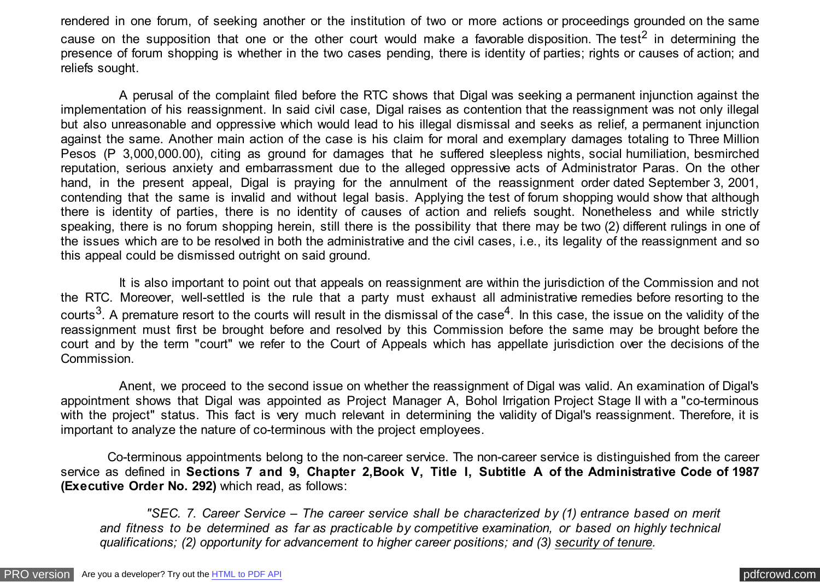rendered in one forum, of seeking another or the institution of two or more actions or proceedings grounded on the same cause on the supposition that one or the other court would make a favorable disposition. The test<sup>2</sup> in determining the presence of forum shopping is whether in the two cases pending, there is identity of parties; rights or causes of action; and reliefs sought.

 A perusal of the complaint filed before the RTC shows that Digal was seeking a permanent injunction against the implementation of his reassignment. In said civil case, Digal raises as contention that the reassignment was not only illegal but also unreasonable and oppressive which would lead to his illegal dismissal and seeks as relief, a permanent injunction against the same. Another main action of the case is his claim for moral and exemplary damages totaling to Three Million Pesos (P 3,000,000.00), citing as ground for damages that he suffered sleepless nights, social humiliation, besmirched reputation, serious anxiety and embarrassment due to the alleged oppressive acts of Administrator Paras. On the other hand, in the present appeal, Digal is praying for the annulment of the reassignment order dated September 3, 2001, contending that the same is invalid and without legal basis. Applying the test of forum shopping would show that although there is identity of parties, there is no identity of causes of action and reliefs sought. Nonetheless and while strictly speaking, there is no forum shopping herein, still there is the possibility that there may be two (2) different rulings in one of the issues which are to be resolved in both the administrative and the civil cases, i.e., its legality of the reassignment and so this appeal could be dismissed outright on said ground.

 It is also important to point out that appeals on reassignment are within the jurisdiction of the Commission and not the RTC. Moreover, well-settled is the rule that a party must exhaust all administrative remedies before resorting to the courts<sup>3</sup>. A premature resort to the courts will result in the dismissal of the case<sup>4</sup>. In this case, the issue on the validity of the reassignment must first be brought before and resolved by this Commission before the same may be brought before the court and by the term "court" we refer to the Court of Appeals which has appellate jurisdiction over the decisions of the Commission.

 Anent, we proceed to the second issue on whether the reassignment of Digal was valid. An examination of Digal's appointment shows that Digal was appointed as Project Manager A, Bohol Irrigation Project Stage II with a "co-terminous with the project" status. This fact is very much relevant in determining the validity of Digal's reassignment. Therefore, it is important to analyze the nature of co-terminous with the project employees.

 Co-terminous appointments belong to the non-career service. The non-career service is distinguished from the career service as defined in **Sections 7 and 9, Chapter 2,Book V, Title I, Subtitle A of the Administrative Code of 1987 (Executive Order No. 292)** which read, as follows:

 *"SEC. 7. Career Service – The career service shall be characterized by (1) entrance based on merit and fitness to be determined as far as practicable by competitive examination, or based on highly technical qualifications; (2) opportunity for advancement to higher career positions; and (3) security of tenure.*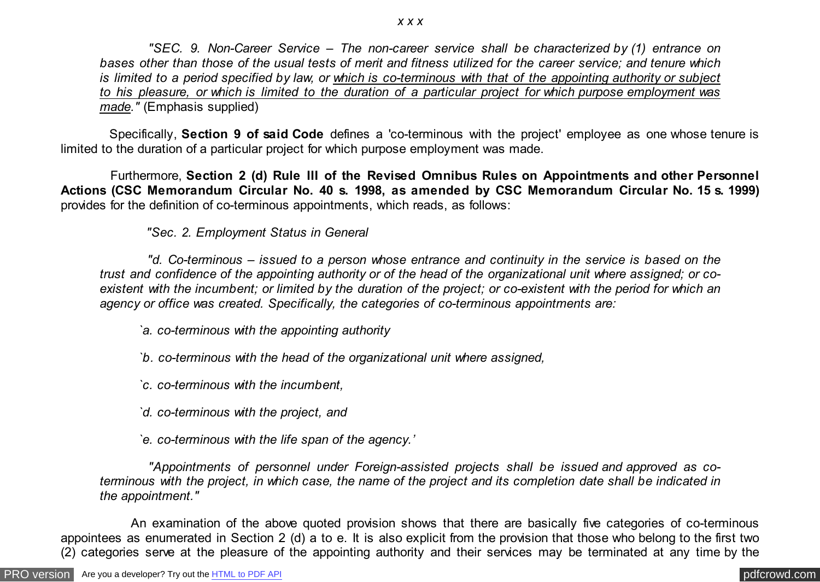*"SEC. 9. Non-Career Service – The non-career service shall be characterized by (1) entrance on bases other than those of the usual tests of merit and fitness utilized for the career service; and tenure which is limited to a period specified by law, or which is co-terminous with that of the appointing authority or subject to his pleasure, or which is limited to the duration of a particular project for which purpose employment was made."* (Emphasis supplied)

 Specifically, **Section 9 of said Code** defines a 'co-terminous with the project' employee as one whose tenure is limited to the duration of a particular project for which purpose employment was made.

 Furthermore, **Section 2 (d) Rule III of the Revised Omnibus Rules on Appointments and other Personnel Actions (CSC Memorandum Circular No. 40 s. 1998, as amended by CSC Memorandum Circular No. 15 s. 1999)** provides for the definition of co-terminous appointments, which reads, as follows:

 *"Sec. 2. Employment Status in General*

 *"d. Co-terminous – issued to a person whose entrance and continuity in the service is based on the trust and confidence of the appointing authority or of the head of the organizational unit where assigned; or coexistent with the incumbent; or limited by the duration of the project; or co-existent with the period for which an agency or office was created. Specifically, the categories of co-terminous appointments are:*

*`a. co-terminous with the appointing authority*

- *`b. co-terminous with the head of the organizational unit where assigned,*
- *`c. co-terminous with the incumbent,*
- *`d. co-terminous with the project, and*
- *`e. co-terminous with the life span of the agency.'*

 *"Appointments of personnel under Foreign-assisted projects shall be issued and approved as coterminous with the project, in which case, the name of the project and its completion date shall be indicated in the appointment."*

 An examination of the above quoted provision shows that there are basically five categories of co-terminous appointees as enumerated in Section 2 (d) a to e. It is also explicit from the provision that those who belong to the first two (2) categories serve at the pleasure of the appointing authority and their services may be terminated at any time by the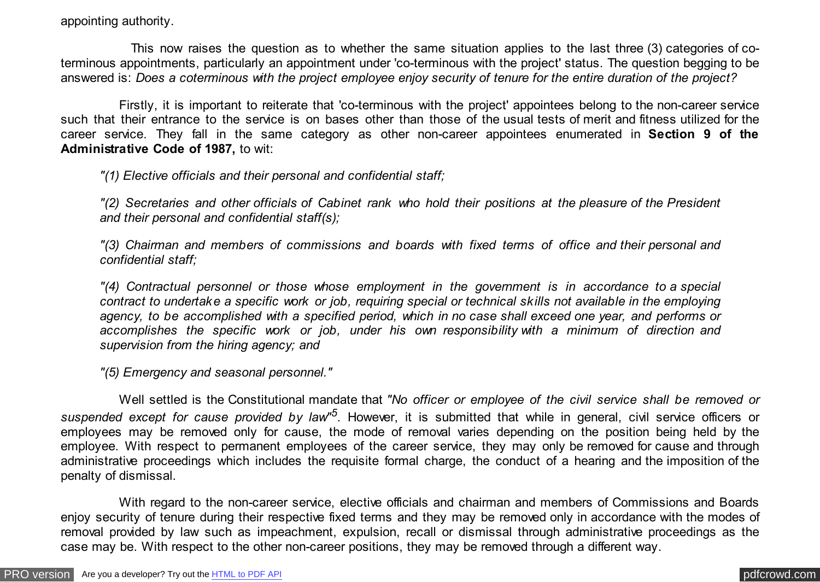appointing authority.

 This now raises the question as to whether the same situation applies to the last three (3) categories of coterminous appointments, particularly an appointment under 'co-terminous with the project' status. The question begging to be answered is: *Does a coterminous with the project employee enjoy security of tenure for the entire duration of the project?*

 Firstly, it is important to reiterate that 'co-terminous with the project' appointees belong to the non-career service such that their entrance to the service is on bases other than those of the usual tests of merit and fitness utilized for the career service. They fall in the same category as other non-career appointees enumerated in **Section 9 of the Administrative Code of 1987,** to wit:

*"(1) Elective officials and their personal and confidential staff;*

*"(2) Secretaries and other officials of Cabinet rank who hold their positions at the pleasure of the President and their personal and confidential staff(s);*

*"(3) Chairman and members of commissions and boards with fixed terms of office and their personal and confidential staff;*

*"(4) Contractual personnel or those whose employment in the government is in accordance to a special contract to undertake a specific work or job, requiring special or technical skills not available in the employing agency, to be accomplished with a specified period, which in no case shall exceed one year, and performs or accomplishes the specific work or job, under his own responsibility with a minimum of direction and supervision from the hiring agency; and*

*"(5) Emergency and seasonal personnel."*

 Well settled is the Constitutional mandate that *"No officer or employee of the civil service shall be removed or suspended except for cause provided by law"<sup>5</sup>* . However, it is submitted that while in general, civil service officers or employees may be removed only for cause, the mode of removal varies depending on the position being held by the employee. With respect to permanent employees of the career service, they may only be removed for cause and through administrative proceedings which includes the requisite formal charge, the conduct of a hearing and the imposition of the penalty of dismissal.

 With regard to the non-career service, elective officials and chairman and members of Commissions and Boards enjoy security of tenure during their respective fixed terms and they may be removed only in accordance with the modes of removal provided by law such as impeachment, expulsion, recall or dismissal through administrative proceedings as the case may be. With respect to the other non-career positions, they may be removed through a different way.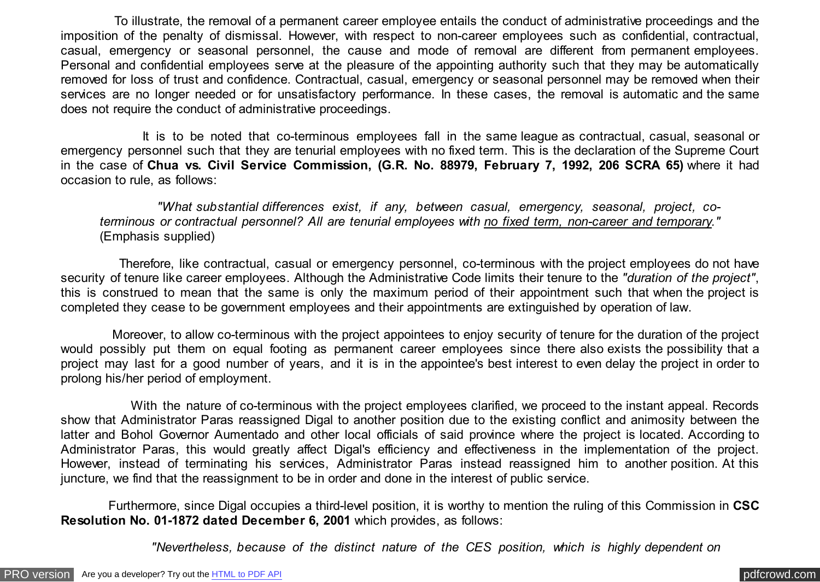To illustrate, the removal of a permanent career employee entails the conduct of administrative proceedings and the imposition of the penalty of dismissal. However, with respect to non-career employees such as confidential, contractual, casual, emergency or seasonal personnel, the cause and mode of removal are different from permanent employees. Personal and confidential employees serve at the pleasure of the appointing authority such that they may be automatically removed for loss of trust and confidence. Contractual, casual, emergency or seasonal personnel may be removed when their services are no longer needed or for unsatisfactory performance. In these cases, the removal is automatic and the same does not require the conduct of administrative proceedings.

 It is to be noted that co-terminous employees fall in the same league as contractual, casual, seasonal or emergency personnel such that they are tenurial employees with no fixed term. This is the declaration of the Supreme Court in the case of **Chua vs. Civil Service Commission, (G.R. No. 88979, February 7, 1992, 206 SCRA 65)** where it had occasion to rule, as follows:

 *"What substantial differences exist, if any, between casual, emergency, seasonal, project, coterminous or contractual personnel? All are tenurial employees with no fixed term, non-career and temporary."* (Emphasis supplied)

 Therefore, like contractual, casual or emergency personnel, co-terminous with the project employees do not have security of tenure like career employees. Although the Administrative Code limits their tenure to the *"duration of the project"*, this is construed to mean that the same is only the maximum period of their appointment such that when the project is completed they cease to be government employees and their appointments are extinguished by operation of law.

 Moreover, to allow co-terminous with the project appointees to enjoy security of tenure for the duration of the project would possibly put them on equal footing as permanent career employees since there also exists the possibility that a project may last for a good number of years, and it is in the appointee's best interest to even delay the project in order to prolong his/her period of employment.

 With the nature of co-terminous with the project employees clarified, we proceed to the instant appeal. Records show that Administrator Paras reassigned Digal to another position due to the existing conflict and animosity between the latter and Bohol Governor Aumentado and other local officials of said province where the project is located. According to Administrator Paras, this would greatly affect Digal's efficiency and effectiveness in the implementation of the project. However, instead of terminating his services, Administrator Paras instead reassigned him to another position. At this juncture, we find that the reassignment to be in order and done in the interest of public service.

 Furthermore, since Digal occupies a third-level position, it is worthy to mention the ruling of this Commission in **CSC Resolution No. 01-1872 dated December 6, 2001** which provides, as follows:

 *"Nevertheless, because of the distinct nature of the CES position, which is highly dependent on*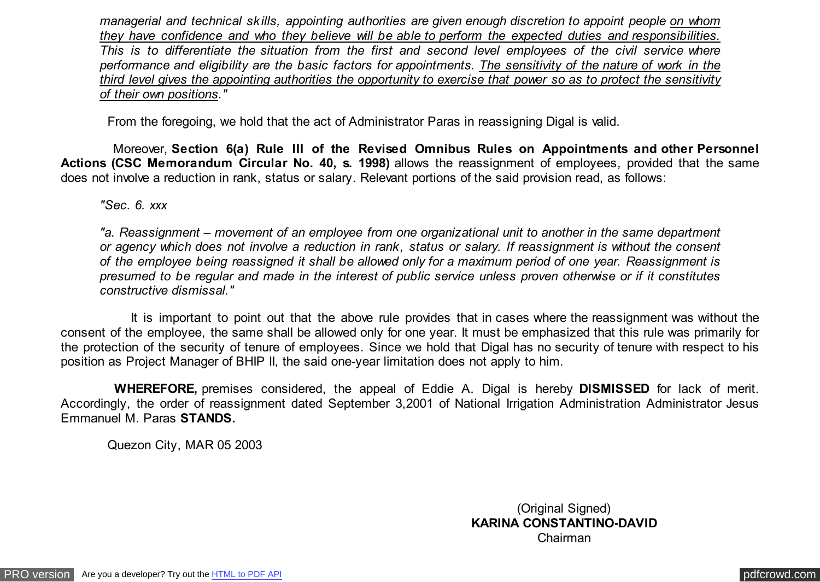*managerial and technical skills, appointing authorities are given enough discretion to appoint people on whom they have confidence and who they believe will be able to perform the expected duties and responsibilities. This is to differentiate the situation from the first and second level employees of the civil service where performance and eligibility are the basic factors for appointments. The sensitivity of the nature of work in the third level gives the appointing authorities the opportunity to exercise that power so as to protect the sensitivity of their own positions."*

From the foregoing, we hold that the act of Administrator Paras in reassigning Digal is valid.

 Moreover, **Section 6(a) Rule III of the Revised Omnibus Rules on Appointments and other Personnel Actions (CSC Memorandum Circular No. 40, s. 1998)** allows the reassignment of employees, provided that the same does not involve a reduction in rank, status or salary. Relevant portions of the said provision read, as follows:

*"Sec. 6. xxx*

*"a. Reassignment – movement of an employee from one organizational unit to another in the same department or agency which does not involve a reduction in rank, status or salary. If reassignment is without the consent of the employee being reassigned it shall be allowed only for a maximum period of one year. Reassignment is presumed to be regular and made in the interest of public service unless proven otherwise or if it constitutes constructive dismissal."*

 It is important to point out that the above rule provides that in cases where the reassignment was without the consent of the employee, the same shall be allowed only for one year. It must be emphasized that this rule was primarily for the protection of the security of tenure of employees. Since we hold that Digal has no security of tenure with respect to his position as Project Manager of BHIP II, the said one-year limitation does not apply to him.

 **WHEREFORE,** premises considered, the appeal of Eddie A. Digal is hereby **DISMISSED** for lack of merit. Accordingly, the order of reassignment dated September 3,2001 of National Irrigation Administration Administrator Jesus Emmanuel M. Paras **STANDS.**

Quezon City, MAR 05 2003

(Original Signed) **KARINA CONSTANTINO-DAVID** Chairman